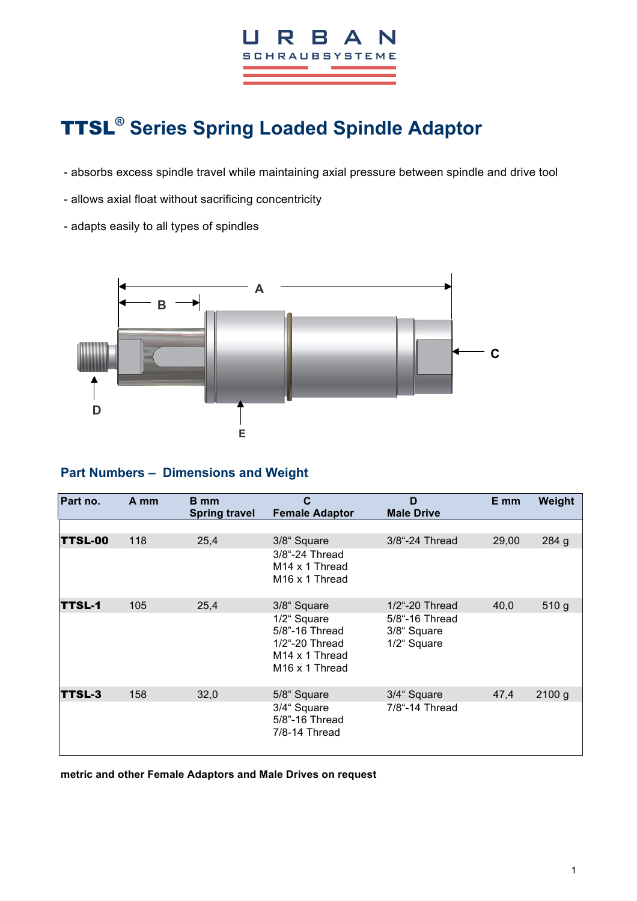

## TTSL**® Series Spring Loaded Spindle Adaptor**

- absorbs excess spindle travel while maintaining axial pressure between spindle and drive tool
- allows axial float without sacrificing concentricity
- adapts easily to all types of spindles



## **Part Numbers – Dimensions and Weight**

| Part no.       | A mm | B mm<br><b>Spring travel</b> | C<br><b>Female Adaptor</b>                                                                                  | D<br><b>Male Drive</b>                       | E mm  | Weight           |
|----------------|------|------------------------------|-------------------------------------------------------------------------------------------------------------|----------------------------------------------|-------|------------------|
|                |      |                              |                                                                                                             |                                              |       |                  |
| <b>TTSL-00</b> | 118  | 25,4                         | 3/8" Square                                                                                                 | 3/8"-24 Thread                               | 29,00 | 284 g            |
|                |      |                              | 3/8"-24 Thread<br>M <sub>14</sub> x 1 Thread<br>M <sub>16</sub> x 1 Thread                                  |                                              |       |                  |
| <b>TTSL-1</b>  | 105  | 25,4                         | 3/8" Square                                                                                                 | 1/2"-20 Thread                               | 40,0  | 510 <sub>g</sub> |
|                |      |                              | 1/2" Square<br>5/8"-16 Thread<br>1/2"-20 Thread<br>M <sub>14</sub> x 1 Thread<br>M <sub>16</sub> x 1 Thread | 5/8"-16 Thread<br>3/8" Square<br>1/2" Square |       |                  |
| TTSL-3         | 158  | 32,0                         | 5/8" Square                                                                                                 | 3/4" Square                                  | 47,4  | 2100 g           |
|                |      |                              | 3/4" Square<br>5/8"-16 Thread<br>7/8-14 Thread                                                              | 7/8"-14 Thread                               |       |                  |

**metric and other Female Adaptors and Male Drives on request**